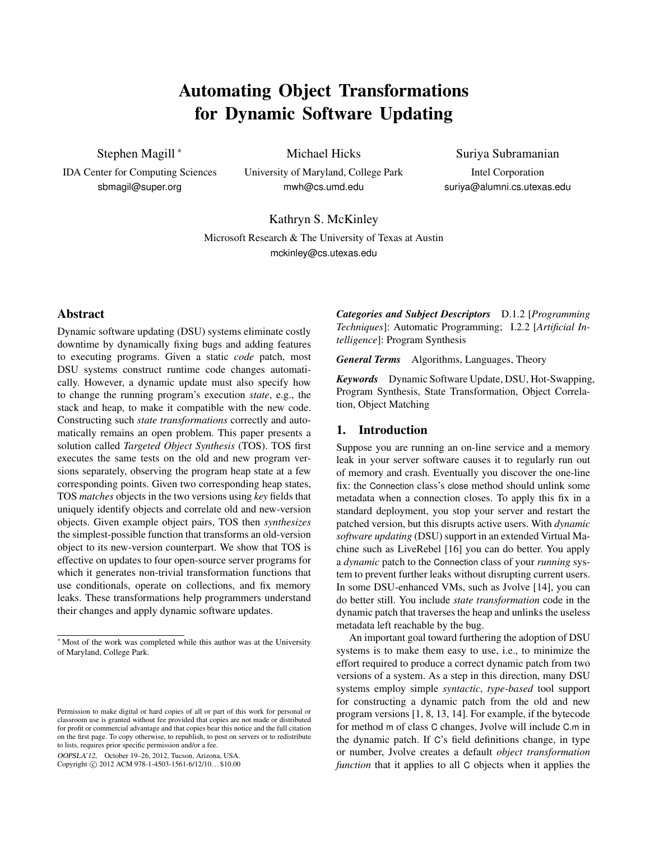# Automating Object Transformations for Dynamic Software Updating

Stephen Magill <sup>∗</sup>

IDA Center for Computing Sciences sbmagil@super.org

Michael Hicks

University of Maryland, College Park mwh@cs.umd.edu

Suriya Subramanian

Intel Corporation suriya@alumni.cs.utexas.edu

## Kathryn S. McKinley

Microsoft Research & The University of Texas at Austin mckinley@cs.utexas.edu

## Abstract

Dynamic software updating (DSU) systems eliminate costly downtime by dynamically fixing bugs and adding features to executing programs. Given a static *code* patch, most DSU systems construct runtime code changes automatically. However, a dynamic update must also specify how to change the running program's execution *state*, e.g., the stack and heap, to make it compatible with the new code. Constructing such *state transformations* correctly and automatically remains an open problem. This paper presents a solution called *Targeted Object Synthesis* (TOS). TOS first executes the same tests on the old and new program versions separately, observing the program heap state at a few corresponding points. Given two corresponding heap states, TOS *matches* objects in the two versions using *key* fields that uniquely identify objects and correlate old and new-version objects. Given example object pairs, TOS then *synthesizes* the simplest-possible function that transforms an old-version object to its new-version counterpart. We show that TOS is effective on updates to four open-source server programs for which it generates non-trivial transformation functions that use conditionals, operate on collections, and fix memory leaks. These transformations help programmers understand their changes and apply dynamic software updates.

OOPSLA'12, October 19–26, 2012, Tucson, Arizona, USA.

Copyright © 2012 ACM 978-1-4503-1561-6/12/10... \$10.00

*Categories and Subject Descriptors* D.1.2 [*Programming Techniques*]: Automatic Programming; I.2.2 [*Artificial Intelligence*]: Program Synthesis

*General Terms* Algorithms, Languages, Theory

*Keywords* Dynamic Software Update, DSU, Hot-Swapping, Program Synthesis, State Transformation, Object Correlation, Object Matching

## 1. Introduction

Suppose you are running an on-line service and a memory leak in your server software causes it to regularly run out of memory and crash. Eventually you discover the one-line fix: the Connection class's close method should unlink some metadata when a connection closes. To apply this fix in a standard deployment, you stop your server and restart the patched version, but this disrupts active users. With *dynamic software updating* (DSU) support in an extended Virtual Machine such as LiveRebel [16] you can do better. You apply a *dynamic* patch to the Connection class of your *running* system to prevent further leaks without disrupting current users. In some DSU-enhanced VMs, such as Jvolve [14], you can do better still. You include *state transformation* code in the dynamic patch that traverses the heap and unlinks the useless metadata left reachable by the bug.

An important goal toward furthering the adoption of DSU systems is to make them easy to use, i.e., to minimize the effort required to produce a correct dynamic patch from two versions of a system. As a step in this direction, many DSU systems employ simple *syntactic*, *type-based* tool support for constructing a dynamic patch from the old and new program versions [1, 8, 13, 14]. For example, if the bytecode for method m of class C changes, Jvolve will include C.m in the dynamic patch. If C's field definitions change, in type or number, Jvolve creates a default *object transformation function* that it applies to all C objects when it applies the

<sup>∗</sup> Most of the work was completed while this author was at the University of Maryland, College Park.

Permission to make digital or hard copies of all or part of this work for personal or classroom use is granted without fee provided that copies are not made or distributed for profit or commercial advantage and that copies bear this notice and the full citation on the first page. To copy otherwise, to republish, to post on servers or to redistribute to lists, requires prior specific permission and/or a fee.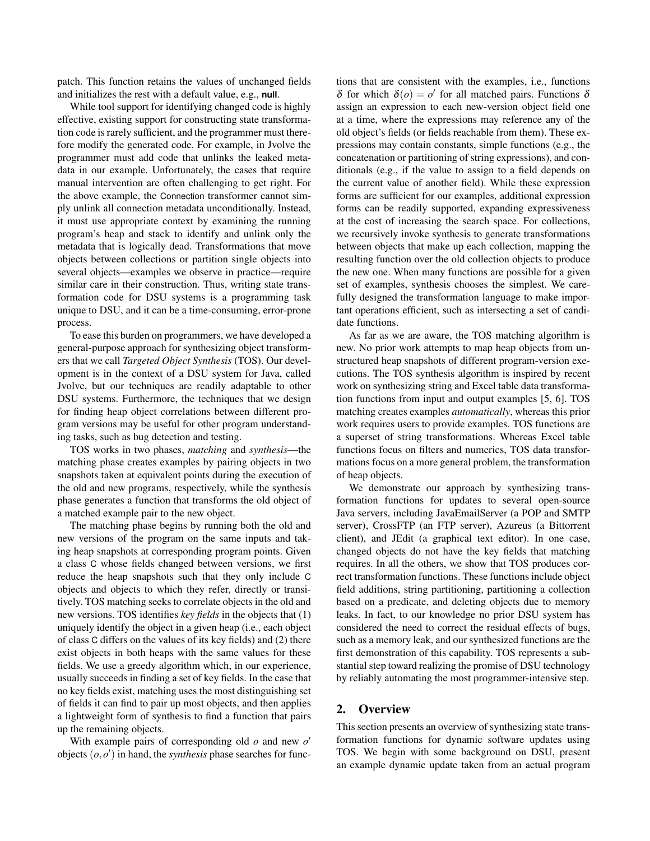patch. This function retains the values of unchanged fields and initializes the rest with a default value, e.g., **null**.

While tool support for identifying changed code is highly effective, existing support for constructing state transformation code is rarely sufficient, and the programmer must therefore modify the generated code. For example, in Jvolve the programmer must add code that unlinks the leaked metadata in our example. Unfortunately, the cases that require manual intervention are often challenging to get right. For the above example, the Connection transformer cannot simply unlink all connection metadata unconditionally. Instead, it must use appropriate context by examining the running program's heap and stack to identify and unlink only the metadata that is logically dead. Transformations that move objects between collections or partition single objects into several objects—examples we observe in practice—require similar care in their construction. Thus, writing state transformation code for DSU systems is a programming task unique to DSU, and it can be a time-consuming, error-prone process.

To ease this burden on programmers, we have developed a general-purpose approach for synthesizing object transformers that we call *Targeted Object Synthesis* (TOS). Our development is in the context of a DSU system for Java, called Jvolve, but our techniques are readily adaptable to other DSU systems. Furthermore, the techniques that we design for finding heap object correlations between different program versions may be useful for other program understanding tasks, such as bug detection and testing.

TOS works in two phases, *matching* and *synthesis*—the matching phase creates examples by pairing objects in two snapshots taken at equivalent points during the execution of the old and new programs, respectively, while the synthesis phase generates a function that transforms the old object of a matched example pair to the new object.

The matching phase begins by running both the old and new versions of the program on the same inputs and taking heap snapshots at corresponding program points. Given a class C whose fields changed between versions, we first reduce the heap snapshots such that they only include C objects and objects to which they refer, directly or transitively. TOS matching seeks to correlate objects in the old and new versions. TOS identifies *key fields* in the objects that (1) uniquely identify the object in a given heap (i.e., each object of class C differs on the values of its key fields) and (2) there exist objects in both heaps with the same values for these fields. We use a greedy algorithm which, in our experience, usually succeeds in finding a set of key fields. In the case that no key fields exist, matching uses the most distinguishing set of fields it can find to pair up most objects, and then applies a lightweight form of synthesis to find a function that pairs up the remaining objects.

With example pairs of corresponding old  $o$  and new  $o'$ objects  $(o, o')$  in hand, the *synthesis* phase searches for functions that are consistent with the examples, i.e., functions δ for which  $δ(0) = o'$  for all matched pairs. Functions δ assign an expression to each new-version object field one at a time, where the expressions may reference any of the old object's fields (or fields reachable from them). These expressions may contain constants, simple functions (e.g., the concatenation or partitioning of string expressions), and conditionals (e.g., if the value to assign to a field depends on the current value of another field). While these expression forms are sufficient for our examples, additional expression forms can be readily supported, expanding expressiveness at the cost of increasing the search space. For collections, we recursively invoke synthesis to generate transformations between objects that make up each collection, mapping the resulting function over the old collection objects to produce the new one. When many functions are possible for a given set of examples, synthesis chooses the simplest. We carefully designed the transformation language to make important operations efficient, such as intersecting a set of candidate functions.

As far as we are aware, the TOS matching algorithm is new. No prior work attempts to map heap objects from unstructured heap snapshots of different program-version executions. The TOS synthesis algorithm is inspired by recent work on synthesizing string and Excel table data transformation functions from input and output examples [5, 6]. TOS matching creates examples *automatically*, whereas this prior work requires users to provide examples. TOS functions are a superset of string transformations. Whereas Excel table functions focus on filters and numerics, TOS data transformations focus on a more general problem, the transformation of heap objects.

We demonstrate our approach by synthesizing transformation functions for updates to several open-source Java servers, including JavaEmailServer (a POP and SMTP server), CrossFTP (an FTP server), Azureus (a Bittorrent client), and JEdit (a graphical text editor). In one case, changed objects do not have the key fields that matching requires. In all the others, we show that TOS produces correct transformation functions. These functions include object field additions, string partitioning, partitioning a collection based on a predicate, and deleting objects due to memory leaks. In fact, to our knowledge no prior DSU system has considered the need to correct the residual effects of bugs, such as a memory leak, and our synthesized functions are the first demonstration of this capability. TOS represents a substantial step toward realizing the promise of DSU technology by reliably automating the most programmer-intensive step.

# 2. Overview

This section presents an overview of synthesizing state transformation functions for dynamic software updates using TOS. We begin with some background on DSU, present an example dynamic update taken from an actual program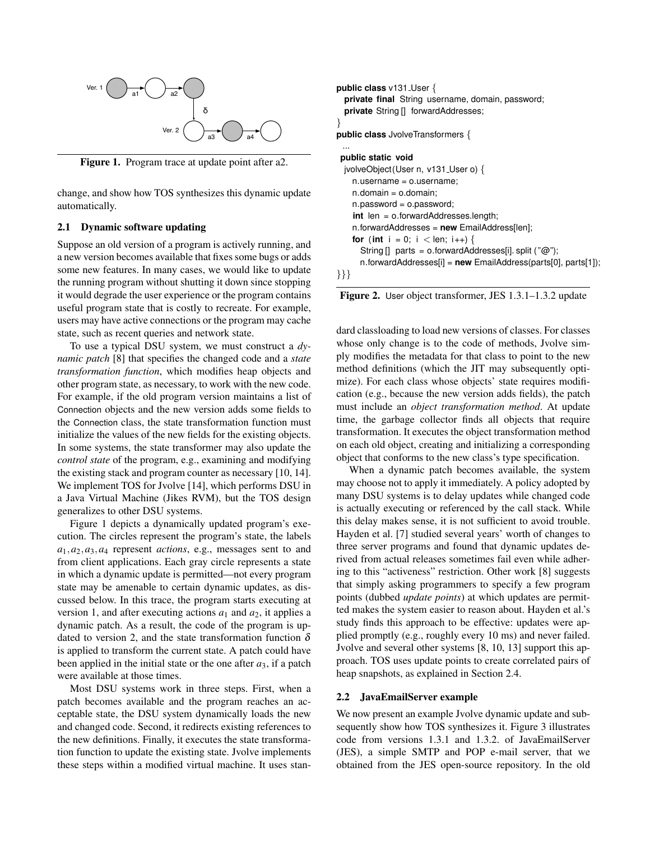

Figure 1. Program trace at update point after a2.

change, and show how TOS synthesizes this dynamic update automatically.

## 2.1 Dynamic software updating

Suppose an old version of a program is actively running, and a new version becomes available that fixes some bugs or adds some new features. In many cases, we would like to update the running program without shutting it down since stopping it would degrade the user experience or the program contains useful program state that is costly to recreate. For example, users may have active connections or the program may cache state, such as recent queries and network state.

To use a typical DSU system, we must construct a *dynamic patch* [8] that specifies the changed code and a *state transformation function*, which modifies heap objects and other program state, as necessary, to work with the new code. For example, if the old program version maintains a list of Connection objects and the new version adds some fields to the Connection class, the state transformation function must initialize the values of the new fields for the existing objects. In some systems, the state transformer may also update the *control state* of the program, e.g., examining and modifying the existing stack and program counter as necessary [10, 14]. We implement TOS for Jvolve [14], which performs DSU in a Java Virtual Machine (Jikes RVM), but the TOS design generalizes to other DSU systems.

Figure 1 depicts a dynamically updated program's execution. The circles represent the program's state, the labels *a*1,*a*2,*a*3,*a*<sup>4</sup> represent *actions*, e.g., messages sent to and from client applications. Each gray circle represents a state in which a dynamic update is permitted—not every program state may be amenable to certain dynamic updates, as discussed below. In this trace, the program starts executing at version 1, and after executing actions  $a_1$  and  $a_2$ , it applies a dynamic patch. As a result, the code of the program is updated to version 2, and the state transformation function  $\delta$ is applied to transform the current state. A patch could have been applied in the initial state or the one after *a*3, if a patch were available at those times.

Most DSU systems work in three steps. First, when a patch becomes available and the program reaches an acceptable state, the DSU system dynamically loads the new and changed code. Second, it redirects existing references to the new definitions. Finally, it executes the state transformation function to update the existing state. Jvolve implements these steps within a modified virtual machine. It uses stan-

```
public class v131 User {
  private final String username, domain, password;
  private String [] forwardAddresses;
}
public class JvolveTransformers {
  ...
 public static void
 jvolveObject(User n, v131 User o) {
    n.username = o.username;
    n.domain = o.domain;
    n.password = o.password;
    int len = o.forwardAddresses.length;
    n.forwardAddresses = new EmailAddress[len];
    for (int i = 0; i < \text{len}; i++) {
      String [] parts = o.forwardAddresses[i]. split ("@");
      n.forwardAddresses[i] = new EmailAddress(parts[0], parts[1]);
}}}
```
Figure 2. User object transformer, JES 1.3.1–1.3.2 update

dard classloading to load new versions of classes. For classes whose only change is to the code of methods, Jvolve simply modifies the metadata for that class to point to the new method definitions (which the JIT may subsequently optimize). For each class whose objects' state requires modification (e.g., because the new version adds fields), the patch must include an *object transformation method*. At update time, the garbage collector finds all objects that require transformation. It executes the object transformation method on each old object, creating and initializing a corresponding object that conforms to the new class's type specification.

When a dynamic patch becomes available, the system may choose not to apply it immediately. A policy adopted by many DSU systems is to delay updates while changed code is actually executing or referenced by the call stack. While this delay makes sense, it is not sufficient to avoid trouble. Hayden et al. [7] studied several years' worth of changes to three server programs and found that dynamic updates derived from actual releases sometimes fail even while adhering to this "activeness" restriction. Other work [8] suggests that simply asking programmers to specify a few program points (dubbed *update points*) at which updates are permitted makes the system easier to reason about. Hayden et al.'s study finds this approach to be effective: updates were applied promptly (e.g., roughly every 10 ms) and never failed. Jvolve and several other systems [8, 10, 13] support this approach. TOS uses update points to create correlated pairs of heap snapshots, as explained in Section 2.4.

#### 2.2 JavaEmailServer example

We now present an example Jvolve dynamic update and subsequently show how TOS synthesizes it. Figure 3 illustrates code from versions 1.3.1 and 1.3.2. of JavaEmailServer (JES), a simple SMTP and POP e-mail server, that we obtained from the JES open-source repository. In the old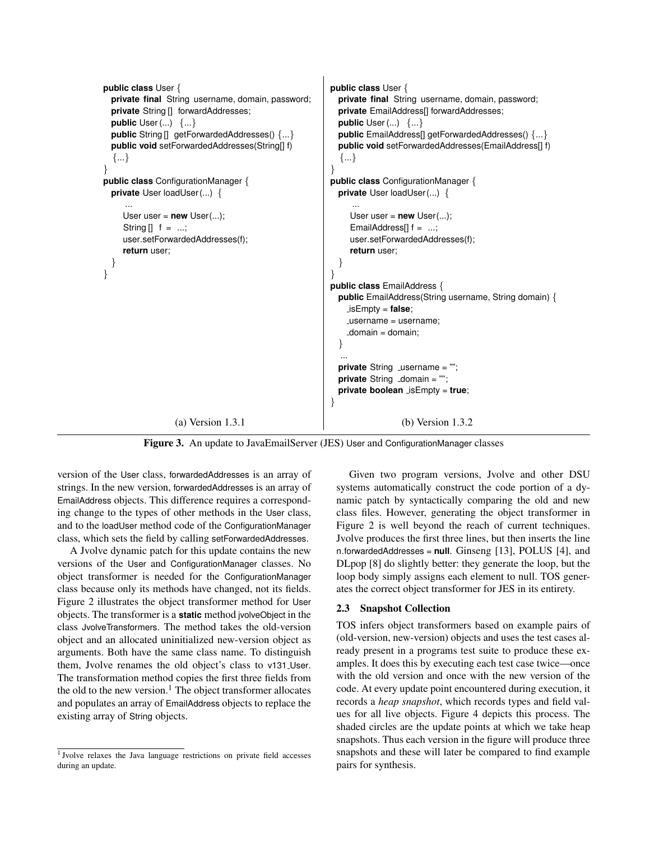```
public class User {
 private final String username, domain, password;
 private String [] forwardAddresses;
 public User (...) {...}
 public String [] getForwardedAddresses() {...}
 public void setForwardedAddresses(String[] f)
  {...}
}
public class ConfigurationManager {
 private User loadUser (...) {
     ...
    User user = new User(...);
    String [] f = ...;user.setForwardedAddresses(f);
    return user;
  }
}
                                                       public class User {
                                                         private final String username, domain, password;
                                                         private EmailAddress[] forwardAddresses;
                                                         public User (...) {...}
                                                         public EmailAddress[] getForwardedAddresses() {...}
                                                         public void setForwardedAddresses(EmailAddress[] f)
                                                         {...}
                                                       }
                                                       public class ConfigurationManager {
                                                         private User loadUser (...) {
                                                            ...
                                                           User user = new User(...);
                                                           EmailAddress[] f = ...;user.setForwardedAddresses(f);
                                                           return user;
                                                         }
                                                       }
                                                       public class EmailAddress {
                                                         public EmailAddress(String username, String domain) {
                                                           isEmpty = false;
                                                           username = username;
                                                           domain = domain;
                                                         }
                                                          ...
                                                         private String _username = "";
                                                         private String _domain = "";
                                                         private boolean isEmpty = true;
                                                       }
                 (a) Version 1.3.1 (b) Version 1.3.2
```
Figure 3. An update to JavaEmailServer (JES) User and ConfigurationManager classes

version of the User class, forwardedAddresses is an array of strings. In the new version, forwardedAddresses is an array of EmailAddress objects. This difference requires a corresponding change to the types of other methods in the User class, and to the loadUser method code of the ConfigurationManager class, which sets the field by calling setForwardedAddresses.

A Jvolve dynamic patch for this update contains the new versions of the User and ConfigurationManager classes. No object transformer is needed for the ConfigurationManager class because only its methods have changed, not its fields. Figure 2 illustrates the object transformer method for User objects. The transformer is a **static** method jvolveObject in the class JvolveTransformers. The method takes the old-version object and an allocated uninitialized new-version object as arguments. Both have the same class name. To distinguish them, Jvolve renames the old object's class to v131 User. The transformation method copies the first three fields from the old to the new version.<sup>1</sup> The object transformer allocates and populates an array of EmailAddress objects to replace the existing array of String objects.

Given two program versions, Jvolve and other DSU systems automatically construct the code portion of a dynamic patch by syntactically comparing the old and new class files. However, generating the object transformer in Figure 2 is well beyond the reach of current techniques. Jvolve produces the first three lines, but then inserts the line n.forwardedAddresses = **null**. Ginseng [13], POLUS [4], and DLpop [8] do slightly better: they generate the loop, but the loop body simply assigns each element to null. TOS generates the correct object transformer for JES in its entirety.

# 2.3 Snapshot Collection

TOS infers object transformers based on example pairs of (old-version, new-version) objects and uses the test cases already present in a programs test suite to produce these examples. It does this by executing each test case twice—once with the old version and once with the new version of the code. At every update point encountered during execution, it records a *heap snapshot*, which records types and field values for all live objects. Figure 4 depicts this process. The shaded circles are the update points at which we take heap snapshots. Thus each version in the figure will produce three snapshots and these will later be compared to find example pairs for synthesis.

<sup>&</sup>lt;sup>1</sup> Jvolve relaxes the Java language restrictions on private field accesses during an update.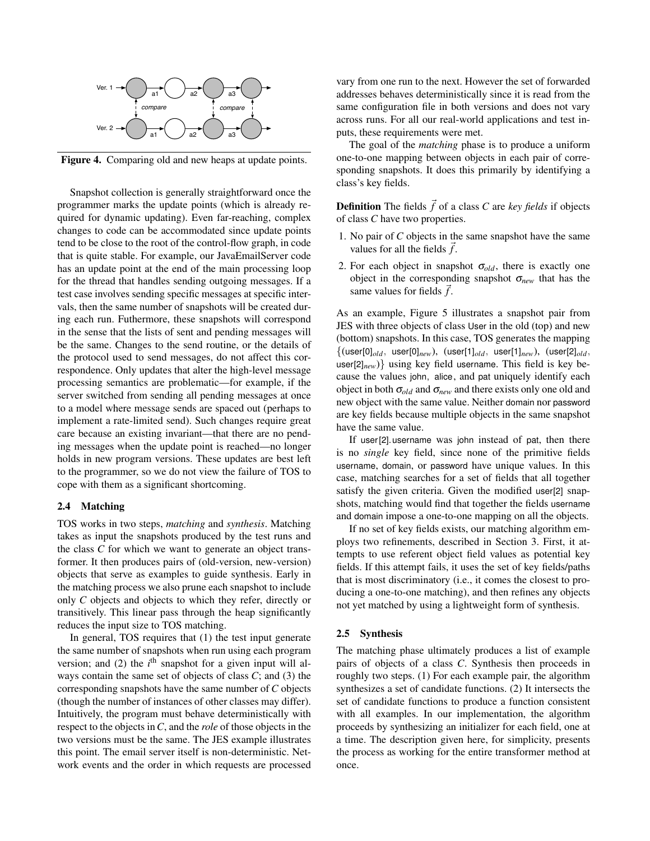

Figure 4. Comparing old and new heaps at update points.

Snapshot collection is generally straightforward once the programmer marks the update points (which is already required for dynamic updating). Even far-reaching, complex changes to code can be accommodated since update points tend to be close to the root of the control-flow graph, in code that is quite stable. For example, our JavaEmailServer code has an update point at the end of the main processing loop for the thread that handles sending outgoing messages. If a test case involves sending specific messages at specific intervals, then the same number of snapshots will be created during each run. Futhermore, these snapshots will correspond in the sense that the lists of sent and pending messages will be the same. Changes to the send routine, or the details of the protocol used to send messages, do not affect this correspondence. Only updates that alter the high-level message processing semantics are problematic—for example, if the server switched from sending all pending messages at once to a model where message sends are spaced out (perhaps to implement a rate-limited send). Such changes require great care because an existing invariant—that there are no pending messages when the update point is reached—no longer holds in new program versions. These updates are best left to the programmer, so we do not view the failure of TOS to cope with them as a significant shortcoming.

#### 2.4 Matching

TOS works in two steps, *matching* and *synthesis*. Matching takes as input the snapshots produced by the test runs and the class *C* for which we want to generate an object transformer. It then produces pairs of (old-version, new-version) objects that serve as examples to guide synthesis. Early in the matching process we also prune each snapshot to include only *C* objects and objects to which they refer, directly or transitively. This linear pass through the heap significantly reduces the input size to TOS matching.

In general, TOS requires that (1) the test input generate the same number of snapshots when run using each program version; and (2) the *i*<sup>th</sup> snapshot for a given input will always contain the same set of objects of class *C*; and (3) the corresponding snapshots have the same number of *C* objects (though the number of instances of other classes may differ). Intuitively, the program must behave deterministically with respect to the objects in*C*, and the *role* of those objects in the two versions must be the same. The JES example illustrates this point. The email server itself is non-deterministic. Network events and the order in which requests are processed

vary from one run to the next. However the set of forwarded addresses behaves deterministically since it is read from the same configuration file in both versions and does not vary across runs. For all our real-world applications and test inputs, these requirements were met.

The goal of the *matching* phase is to produce a uniform one-to-one mapping between objects in each pair of corresponding snapshots. It does this primarily by identifying a class's key fields.

**Definition** The fields  $\vec{f}$  of a class *C* are *key fields* if objects of class *C* have two properties.

- 1. No pair of *C* objects in the same snapshot have the same values for all the fields  $\vec{f}$ .
- 2. For each object in snapshot  $\sigma_{old}$ , there is exactly one object in the corresponding snapshot σ*new* that has the same values for fields  $\vec{f}$ .

As an example, Figure 5 illustrates a snapshot pair from JES with three objects of class User in the old (top) and new (bottom) snapshots. In this case, TOS generates the mapping  $\{(\text{user}[0]_{old}, \text{user}[0]_{new}), (\text{user}[1]_{old}, \text{user}[1]_{new}), (\text{user}[2]_{old}, \text{user}[1]_{new}))\}$ user $[2]_{new}$ } using key field username. This field is key because the values john, alice, and pat uniquely identify each object in both  $\sigma_{old}$  and  $\sigma_{new}$  and there exists only one old and new object with the same value. Neither domain nor password are key fields because multiple objects in the same snapshot have the same value.

If user[2]. username was john instead of pat, then there is no *single* key field, since none of the primitive fields username, domain, or password have unique values. In this case, matching searches for a set of fields that all together satisfy the given criteria. Given the modified user[2] snapshots, matching would find that together the fields username and domain impose a one-to-one mapping on all the objects.

If no set of key fields exists, our matching algorithm employs two refinements, described in Section 3. First, it attempts to use referent object field values as potential key fields. If this attempt fails, it uses the set of key fields/paths that is most discriminatory (i.e., it comes the closest to producing a one-to-one matching), and then refines any objects not yet matched by using a lightweight form of synthesis.

#### 2.5 Synthesis

The matching phase ultimately produces a list of example pairs of objects of a class *C*. Synthesis then proceeds in roughly two steps. (1) For each example pair, the algorithm synthesizes a set of candidate functions. (2) It intersects the set of candidate functions to produce a function consistent with all examples. In our implementation, the algorithm proceeds by synthesizing an initializer for each field, one at a time. The description given here, for simplicity, presents the process as working for the entire transformer method at once.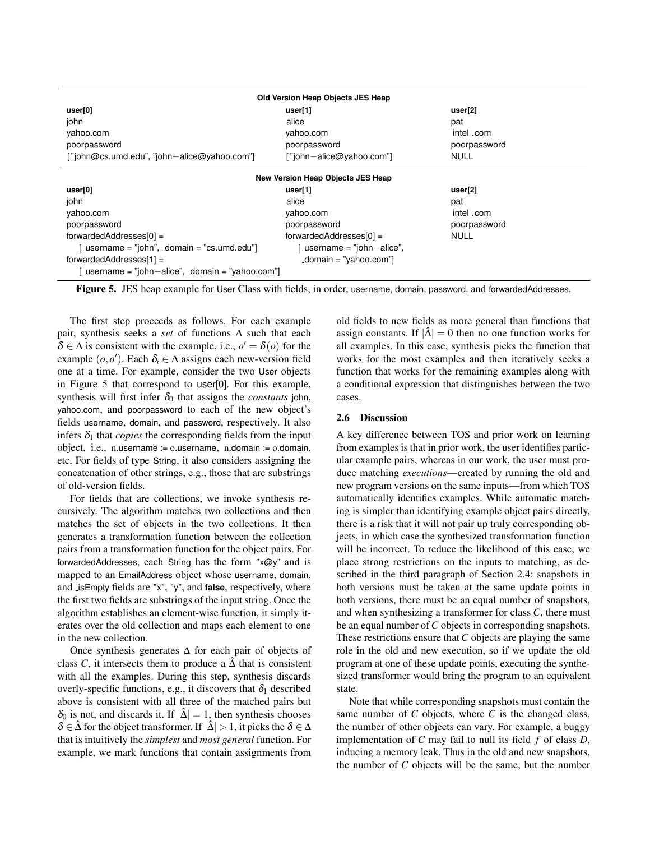| Old Version Heap Objects JES Heap                      |                            |              |  |  |  |  |  |  |
|--------------------------------------------------------|----------------------------|--------------|--|--|--|--|--|--|
| user[0]                                                | user[1]                    | user[2]      |  |  |  |  |  |  |
| john                                                   | alice                      | pat          |  |  |  |  |  |  |
| yahoo.com                                              | yahoo.com                  | intel .com   |  |  |  |  |  |  |
| poorpassword                                           | poorpassword               | poorpassword |  |  |  |  |  |  |
| ["john@cs.umd.edu", "john-alice@yahoo.com"]            | ["john-alice@yahoo.com"]   | <b>NULL</b>  |  |  |  |  |  |  |
| New Version Heap Objects JES Heap                      |                            |              |  |  |  |  |  |  |
| user[0]                                                | user[1]                    | user[2]      |  |  |  |  |  |  |
| john                                                   | alice                      | pat          |  |  |  |  |  |  |
| vahoo.com                                              | yahoo.com                  | intel .com   |  |  |  |  |  |  |
| poorpassword                                           | poorpassword               | poorpassword |  |  |  |  |  |  |
| $forwardedAddress[0] =$                                | $forwardedAddress[0] =$    | <b>NULL</b>  |  |  |  |  |  |  |
| [_username = $"john",$ _domain = $"cs.$ umd.edu $"j$ ] | [_username = "john—alice", |              |  |  |  |  |  |  |
| $forwardedAddress[1] =$                                | _domain = "vahoo.com"]     |              |  |  |  |  |  |  |
| [_username = "john-alice", _domain = "yahoo.com"]      |                            |              |  |  |  |  |  |  |

Figure 5. JES heap example for User Class with fields, in order, username, domain, password, and forwardedAddresses.

The first step proceeds as follows. For each example pair, synthesis seeks a *set* of functions ∆ such that each  $\delta \in \Delta$  is consistent with the example, i.e.,  $o' = \delta(o)$  for the example  $(o, o')$ . Each  $\delta_i \in \Delta$  assigns each new-version field one at a time. For example, consider the two User objects in Figure 5 that correspond to user[0]. For this example, synthesis will first infer  $\delta_0$  that assigns the *constants* john, yahoo.com, and poorpassword to each of the new object's fields username, domain, and password, respectively. It also infers  $\delta_1$  that *copies* the corresponding fields from the input object, i.e., n.username := o.username, n.domain := o.domain, etc. For fields of type String, it also considers assigning the concatenation of other strings, e.g., those that are substrings of old-version fields.

For fields that are collections, we invoke synthesis recursively. The algorithm matches two collections and then matches the set of objects in the two collections. It then generates a transformation function between the collection pairs from a transformation function for the object pairs. For forwardedAddresses, each String has the form "x@y" and is mapped to an EmailAddress object whose username, domain, and isEmpty fields are "x", "y", and **false**, respectively, where the first two fields are substrings of the input string. Once the algorithm establishes an element-wise function, it simply iterates over the old collection and maps each element to one in the new collection.

Once synthesis generates  $\Delta$  for each pair of objects of class *C*, it intersects them to produce a  $\hat{\Delta}$  that is consistent with all the examples. During this step, synthesis discards overly-specific functions, e.g., it discovers that  $\delta_1$  described above is consistent with all three of the matched pairs but  $\delta_0$  is not, and discards it. If  $|\hat{\Delta}| = 1$ , then synthesis chooses  $\delta \in \hat{\Delta}$  for the object transformer. If  $|\hat{\Delta}| > 1$ , it picks the  $\delta \in \Delta$ that is intuitively the *simplest* and *most general* function. For example, we mark functions that contain assignments from old fields to new fields as more general than functions that assign constants. If  $|\hat{\Delta}| = 0$  then no one function works for all examples. In this case, synthesis picks the function that works for the most examples and then iteratively seeks a function that works for the remaining examples along with a conditional expression that distinguishes between the two cases.

## 2.6 Discussion

A key difference between TOS and prior work on learning from examples is that in prior work, the user identifies particular example pairs, whereas in our work, the user must produce matching *executions*—created by running the old and new program versions on the same inputs—from which TOS automatically identifies examples. While automatic matching is simpler than identifying example object pairs directly, there is a risk that it will not pair up truly corresponding objects, in which case the synthesized transformation function will be incorrect. To reduce the likelihood of this case, we place strong restrictions on the inputs to matching, as described in the third paragraph of Section 2.4: snapshots in both versions must be taken at the same update points in both versions, there must be an equal number of snapshots, and when synthesizing a transformer for class *C*, there must be an equal number of*C* objects in corresponding snapshots. These restrictions ensure that *C* objects are playing the same role in the old and new execution, so if we update the old program at one of these update points, executing the synthesized transformer would bring the program to an equivalent state.

Note that while corresponding snapshots must contain the same number of *C* objects, where *C* is the changed class, the number of other objects can vary. For example, a buggy implementation of *C* may fail to null its field *f* of class *D*, inducing a memory leak. Thus in the old and new snapshots, the number of *C* objects will be the same, but the number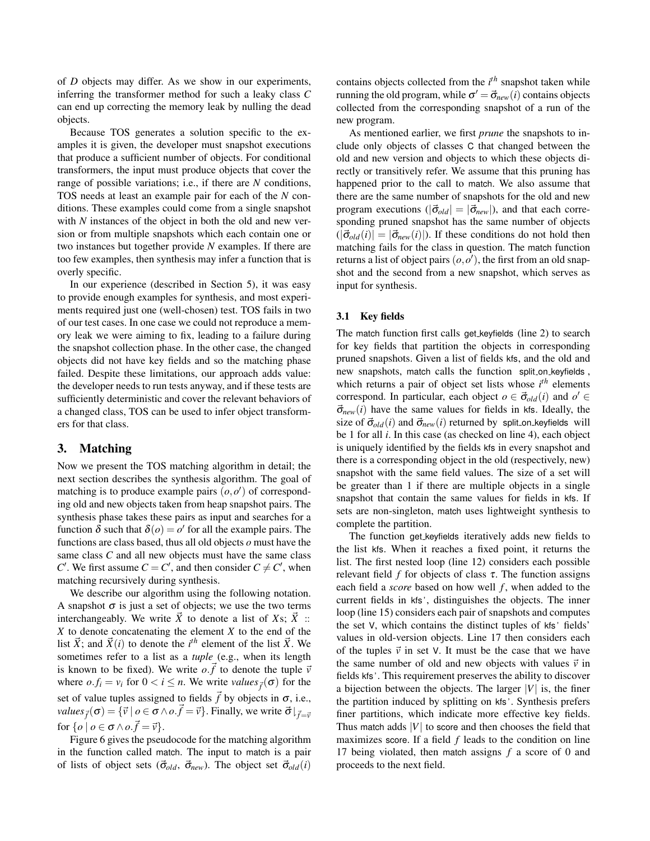of *D* objects may differ. As we show in our experiments, inferring the transformer method for such a leaky class *C* can end up correcting the memory leak by nulling the dead objects.

Because TOS generates a solution specific to the examples it is given, the developer must snapshot executions that produce a sufficient number of objects. For conditional transformers, the input must produce objects that cover the range of possible variations; i.e., if there are *N* conditions, TOS needs at least an example pair for each of the *N* conditions. These examples could come from a single snapshot with *N* instances of the object in both the old and new version or from multiple snapshots which each contain one or two instances but together provide *N* examples. If there are too few examples, then synthesis may infer a function that is overly specific.

In our experience (described in Section 5), it was easy to provide enough examples for synthesis, and most experiments required just one (well-chosen) test. TOS fails in two of our test cases. In one case we could not reproduce a memory leak we were aiming to fix, leading to a failure during the snapshot collection phase. In the other case, the changed objects did not have key fields and so the matching phase failed. Despite these limitations, our approach adds value: the developer needs to run tests anyway, and if these tests are sufficiently deterministic and cover the relevant behaviors of a changed class, TOS can be used to infer object transformers for that class.

## 3. Matching

Now we present the TOS matching algorithm in detail; the next section describes the synthesis algorithm. The goal of matching is to produce example pairs  $(o, o')$  of corresponding old and new objects taken from heap snapshot pairs. The synthesis phase takes these pairs as input and searches for a function  $\delta$  such that  $\delta(o) = o'$  for all the example pairs. The functions are class based, thus all old objects *o* must have the same class *C* and all new objects must have the same class *C*<sup> $\prime$ </sup>. We first assume *C* = *C*<sup> $\prime$ </sup>, and then consider *C*  $\neq$  *C*<sup> $\prime$ </sup>, when matching recursively during synthesis.

We describe our algorithm using the following notation. A snapshot  $\sigma$  is just a set of objects; we use the two terms interchangeably. We write  $\vec{X}$  to denote a list of *Xs*;  $\vec{X}$  :: *X* to denote concatenating the element *X* to the end of the list  $\vec{X}$ ; and  $\vec{X}(i)$  to denote the *i*<sup>th</sup> element of the list  $\vec{X}$ . We sometimes refer to a list as a *tuple* (e.g., when its length is known to be fixed). We write  $o.\vec{f}$  to denote the tuple  $\vec{v}$ where  $o.f_i = v_i$  for  $0 < i \leq n$ . We write *values*  $\bar{f}(\sigma)$  for the set of value tuples assigned to fields  $\vec{f}$  by objects in  $\sigma$ , i.e., *values*<sub> $\vec{f}$ </sub>  $(\sigma) = {\vec{v} \mid o \in \sigma \land o.\vec{f} = \vec{v}}$ . Finally, we write  $\vec{\sigma}\vert_{\vec{f} = \vec{v}}$ for  $\{o \mid o \in \sigma \wedge o \cdot \vec{f} = \vec{v}\}.$ 

Figure 6 gives the pseudocode for the matching algorithm in the function called match. The input to match is a pair of lists of object sets ( $\vec{\sigma}_{old}$ ,  $\vec{\sigma}_{new}$ ). The object set  $\vec{\sigma}_{old}(i)$ 

contains objects collected from the *i th* snapshot taken while running the old program, while  $\sigma' = \vec{\sigma}_{new}(i)$  contains objects collected from the corresponding snapshot of a run of the new program.

As mentioned earlier, we first *prune* the snapshots to include only objects of classes C that changed between the old and new version and objects to which these objects directly or transitively refer. We assume that this pruning has happened prior to the call to match. We also assume that there are the same number of snapshots for the old and new program executions ( $|\vec{\sigma}_{old}| = |\vec{\sigma}_{new}|$ ), and that each corresponding pruned snapshot has the same number of objects  $(|\vec{\sigma}_{old}(i)| = |\vec{\sigma}_{new}(i)|)$ . If these conditions do not hold then matching fails for the class in question. The match function returns a list of object pairs  $(o, o')$ , the first from an old snapshot and the second from a new snapshot, which serves as input for synthesis.

#### 3.1 Key fields

The match function first calls get keyfields (line 2) to search for key fields that partition the objects in corresponding pruned snapshots. Given a list of fields kfs, and the old and new snapshots, match calls the function split-on-keyfields, which returns a pair of object set lists whose *i th* elements correspond. In particular, each object  $o \in \vec{\sigma}_{old}(i)$  and  $o' \in$  $\vec{\sigma}_{new}(i)$  have the same values for fields in kfs. Ideally, the size of  $\vec{\sigma}_{old}(i)$  and  $\vec{\sigma}_{new}(i)$  returned by split-on-keyfields will be 1 for all *i*. In this case (as checked on line 4), each object is uniquely identified by the fields kfs in every snapshot and there is a corresponding object in the old (respectively, new) snapshot with the same field values. The size of a set will be greater than 1 if there are multiple objects in a single snapshot that contain the same values for fields in kfs. If sets are non-singleton, match uses lightweight synthesis to complete the partition.

The function get keyfields iteratively adds new fields to the list kfs. When it reaches a fixed point, it returns the list. The first nested loop (line 12) considers each possible relevant field  $f$  for objects of class  $\tau$ . The function assigns each field a *score* based on how well *f*, when added to the current fields in kfs ', distinguishes the objects. The inner loop (line 15) considers each pair of snapshots and computes the set V, which contains the distinct tuples of kfs' fields' values in old-version objects. Line 17 then considers each of the tuples  $\vec{v}$  in set V. It must be the case that we have the same number of old and new objects with values  $\vec{v}$  in fields kfs '. This requirement preserves the ability to discover a bijection between the objects. The larger  $|V|$  is, the finer the partition induced by splitting on kfs '. Synthesis prefers finer partitions, which indicate more effective key fields. Thus match adds  $|V|$  to score and then chooses the field that maximizes score. If a field *f* leads to the condition on line 17 being violated, then match assigns *f* a score of 0 and proceeds to the next field.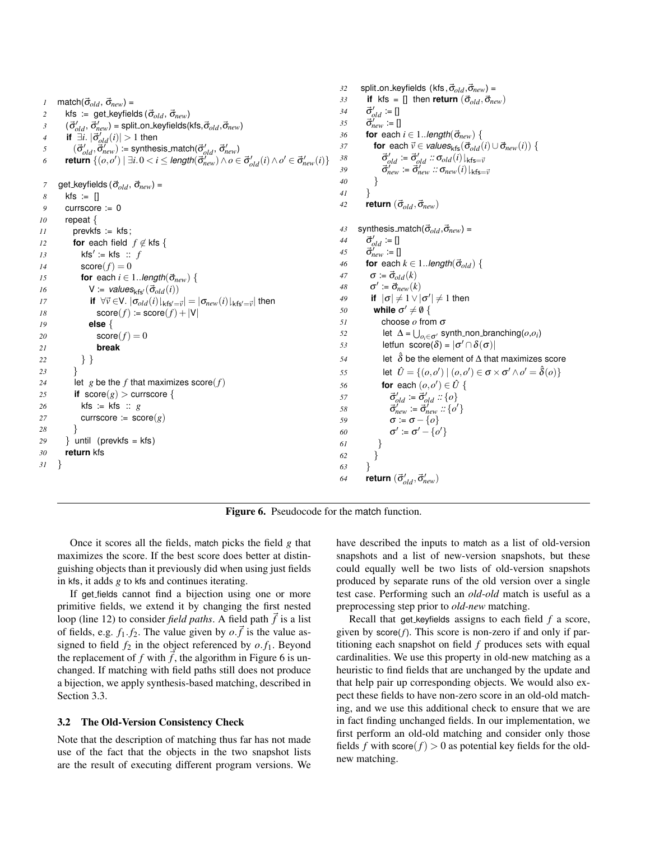match( $\vec{\sigma}_{old}$ ,  $\vec{\sigma}_{new}$ ) = 2 kfs := get\_keyfields  $(\vec{\sigma}_{old}, \vec{\sigma}_{new})$ 3 ( $\vec{\sigma}'_{old}$ ,  $\vec{\sigma}'_{new}$ ) = split<sub>-</sub>on<sub>-</sub>keyfields(kfs, $\vec{\sigma}_{old}, \vec{\sigma}_{new}$ ) **if**  $\exists i$ .  $|\vec{\sigma}'_{old}(i)| > 1$  then  $(\vec{\sigma}'_{old}, \vec{\vec{\sigma}}''_{new})$  := synthesis\_match( $\vec{\sigma}'_{old}, \vec{\sigma}'_{new}$ ) **return**  $\{(o, o') | \exists i. 0 < i \leq \text{length}(\vec{\sigma}_{new}^{\prime\prime}) \land o \in \vec{\sigma}_{old}^{\prime}(i) \land o' \in \vec{\sigma}_{new}^{\prime}(i)\}$  get keyfields  $(\vec{\sigma}_{old}, \vec{\sigma}_{new}) =$  kfs := [] currscore := 0 *10* repeat { prevkfs := kfs; **for** each field  $f \notin$  kfs { kfs' := kfs :: *f*   $score(f) = 0$  **for** each  $i \in 1$ ..*length*( $\vec{\sigma}_{new}$ ) {  $V := \text{values}_{\text{kfs}'}(\vec{\sigma}_{old}(i))$  **if**  $\forall \vec{v} \in V$ .  $|\sigma_{old}(i)|_{kfs'=\vec{v}}| = |\sigma_{new}(i)|_{kfs'=\vec{v}}|$  then  $score(f) := score(f) + |V|$ *19* **else** {  $\operatorname{score}(f) = 0$ *21* **break** *22* } } *23* } 24 let *g* be the *f* that maximizes score $(f)$ **if**  $score(g) >$  currscore { kfs := kfs :: *g* **currscore** :=  $score(g)$ *28* } 29 } until (prevkfs = kfs) **return** kfs *31* } 32 split\_on\_keyfields (kfs,  $\vec{\sigma}_{old}, \vec{\sigma}_{new}$ ) = **if** kfs = [] then **return**  $(\vec{\sigma}_{old}, \vec{\sigma}_{new})$ *<sup>34</sup>* ~σ  $\int_{old}$   $=$  [] *<sup>35</sup>* ~σ  $\sum_{new}^{T} := []$  **for** each  $i \in 1$ ..*length* $(\vec{\sigma}_{new})$  { **for** each  $\vec{v} \in$  *values*<sub>kfs</sub> $(\vec{\sigma}_{old}(i) \cup \vec{\sigma}_{new}(i))$  {  $\vec{\sigma}'_{old} \coloneqq \vec{\sigma}'_{old} :: \sigma_{old}(i)|_{kfs=\vec{v}}$  $\vec{\sigma}_{new}^{\prime\prime} := \vec{\sigma}_{new}^{\prime\prime} : \vec{\sigma}_{new}(i)|_{kfs=\vec{v}}$ *40* } *41* } **return**  $(\vec{\sigma}_{old}, \vec{\sigma}_{new})$ 43 synthesis\_match( $\vec{\sigma}_{old}, \vec{\sigma}_{new}$ ) = *<sup>44</sup>* ~σ  $\int_{old}$   $=$  []  $\vec{\sigma}_{new}$  := []  **<b>for** each  $k \in 1$ ..*length*( $\vec{\sigma}_{old}$ ) {<br>  $\sigma := \vec{\sigma}_{old}(k)$  $\sigma := \vec{\sigma}_{old}(k)$   $\sigma' := \vec{\sigma}_{new}(k)$  **if**  $|\sigma| ≠ 1 \vee |\sigma'| ≠ 1$  then **while**  $\sigma' \neq \emptyset$  { choose *o* from σ let  $\Delta = \bigcup_{o_i \in \sigma'}$  synth\_non\_branching(*o*,*oi*) letfun score $(\delta) = |\sigma' \cap \delta(\sigma)|$  let  $\hat{\delta}$  be the element of  $\Delta$  that maximizes score let  $\hat{U} = \{ (o, o') \mid (o, o') \in \sigma \times \sigma' \wedge o' = \hat{\delta}(o) \}$  **for** each  $(o, o') \in \hat{U}$  {  $\vec{\sigma}'_{old} := \vec{\sigma}'_{old} :: \{o\}$  $\vec{\sigma}'_{new} := \vec{\sigma}'_{new} : \{o'\}$   $σ := σ - {o}$ *60* σ  $^{\prime}$  :=  $\sigma^{\prime}$   $\{o^{\prime}\}$ *61* } *62* } *63* } **return**  $(\vec{\sigma}'_{old}, \vec{\sigma}'_{new})$ 

Figure 6. Pseudocode for the match function.

Once it scores all the fields, match picks the field *g* that maximizes the score. If the best score does better at distinguishing objects than it previously did when using just fields in kfs, it adds *g* to kfs and continues iterating.

If get fields cannot find a bijection using one or more primitive fields, we extend it by changing the first nested loop (line 12) to consider *field paths*. A field path  $\vec{f}$  is a list of fields, e.g.  $f_1 \cdot f_2$ . The value given by  $o.\vec{f}$  is the value assigned to field  $f_2$  in the object referenced by  $o.f_1$ . Beyond the replacement of  $f$  with  $f$ , the algorithm in Figure 6 is unchanged. If matching with field paths still does not produce a bijection, we apply synthesis-based matching, described in Section 3.3.

## 3.2 The Old-Version Consistency Check

Note that the description of matching thus far has not made use of the fact that the objects in the two snapshot lists are the result of executing different program versions. We

have described the inputs to match as a list of old-version snapshots and a list of new-version snapshots, but these could equally well be two lists of old-version snapshots produced by separate runs of the old version over a single test case. Performing such an *old-old* match is useful as a preprocessing step prior to *old-new* matching.

Recall that get keyfields assigns to each field *f* a score, given by  $score(f)$ . This score is non-zero if and only if partitioning each snapshot on field *f* produces sets with equal cardinalities. We use this property in old-new matching as a heuristic to find fields that are unchanged by the update and that help pair up corresponding objects. We would also expect these fields to have non-zero score in an old-old matching, and we use this additional check to ensure that we are in fact finding unchanged fields. In our implementation, we first perform an old-old matching and consider only those fields *f* with score( $f$ ) > 0 as potential key fields for the oldnew matching.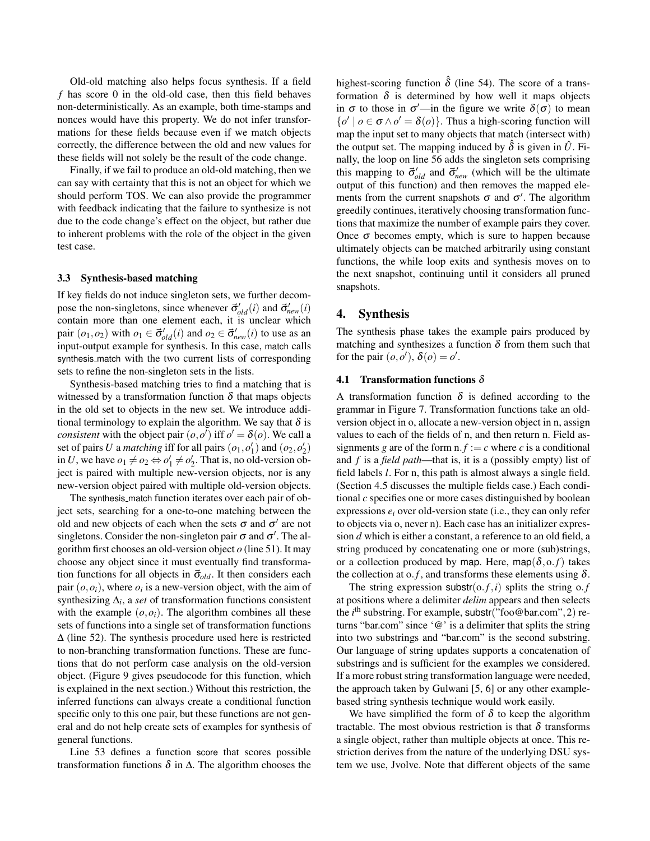Old-old matching also helps focus synthesis. If a field *f* has score 0 in the old-old case, then this field behaves non-deterministically. As an example, both time-stamps and nonces would have this property. We do not infer transformations for these fields because even if we match objects correctly, the difference between the old and new values for these fields will not solely be the result of the code change.

Finally, if we fail to produce an old-old matching, then we can say with certainty that this is not an object for which we should perform TOS. We can also provide the programmer with feedback indicating that the failure to synthesize is not due to the code change's effect on the object, but rather due to inherent problems with the role of the object in the given test case.

## 3.3 Synthesis-based matching

If key fields do not induce singleton sets, we further decompose the non-singletons, since whenever  $\vec{\sigma}'_{old}(i)$  and  $\vec{\sigma}'_{new}(i)$ contain more than one element each, it is unclear which pair  $(o_1, o_2)$  with  $o_1 \in \vec{\sigma}'_{old}(i)$  and  $o_2 \in \vec{\sigma}'_{new}(i)$  to use as an input-output example for synthesis. In this case, match calls synthesis match with the two current lists of corresponding sets to refine the non-singleton sets in the lists.

Synthesis-based matching tries to find a matching that is witnessed by a transformation function  $\delta$  that maps objects in the old set to objects in the new set. We introduce additional terminology to explain the algorithm. We say that  $\delta$  is *consistent* with the object pair  $(o, o')$  iff  $o' = \delta(o)$ . We call a set of pairs *U* a *matching* iff for all pairs  $(o_1, o'_1)$  and  $(o_2, o'_2)$ in *U*, we have  $o_1 \neq o_2 \Leftrightarrow o'_1 \neq o'_2$ . That is, no old-version object is paired with multiple new-version objects, nor is any new-version object paired with multiple old-version objects.

The synthesis match function iterates over each pair of object sets, searching for a one-to-one matching between the old and new objects of each when the sets  $\sigma$  and  $\sigma'$  are not singletons. Consider the non-singleton pair  $\sigma$  and  $\sigma'$ . The algorithm first chooses an old-version object *o* (line 51). It may choose any object since it must eventually find transformation functions for all objects in  $\vec{\sigma}_{old}$ . It then considers each pair  $(o, o_i)$ , where  $o_i$  is a new-version object, with the aim of synthesizing  $\Delta_i$ , a *set* of transformation functions consistent with the example  $(o, o_i)$ . The algorithm combines all these sets of functions into a single set of transformation functions ∆ (line 52). The synthesis procedure used here is restricted to non-branching transformation functions. These are functions that do not perform case analysis on the old-version object. (Figure 9 gives pseudocode for this function, which is explained in the next section.) Without this restriction, the inferred functions can always create a conditional function specific only to this one pair, but these functions are not general and do not help create sets of examples for synthesis of general functions.

Line 53 defines a function score that scores possible transformation functions  $\delta$  in  $\Delta$ . The algorithm chooses the

highest-scoring function  $\hat{\delta}$  (line 54). The score of a transformation  $\delta$  is determined by how well it maps objects in  $\sigma$  to those in  $\sigma'$ —in the figure we write  $\delta(\sigma)$  to mean  $\{o' \mid o \in \sigma \land o' = \delta(o)\}.$  Thus a high-scoring function will map the input set to many objects that match (intersect with) the output set. The mapping induced by  $\hat{\delta}$  is given in  $\hat{U}$ . Finally, the loop on line 56 adds the singleton sets comprising this mapping to  $\vec{\sigma}'_{old}$  and  $\vec{\sigma}'_{new}$  (which will be the ultimate output of this function) and then removes the mapped elements from the current snapshots  $\sigma$  and  $\sigma'$ . The algorithm greedily continues, iteratively choosing transformation functions that maximize the number of example pairs they cover. Once  $σ$  becomes empty, which is sure to happen because ultimately objects can be matched arbitrarily using constant functions, the while loop exits and synthesis moves on to the next snapshot, continuing until it considers all pruned snapshots.

## 4. Synthesis

The synthesis phase takes the example pairs produced by matching and synthesizes a function  $\delta$  from them such that for the pair  $(o, o'), \delta(o) = o'$ .

## 4.1 Transformation functions  $\delta$

A transformation function  $\delta$  is defined according to the grammar in Figure 7. Transformation functions take an oldversion object in o, allocate a new-version object in n, assign values to each of the fields of n, and then return n. Field assignments *g* are of the form  $n.f := c$  where *c* is a conditional and *f* is a *field path*—that is, it is a (possibly empty) list of field labels *l*. For n, this path is almost always a single field. (Section 4.5 discusses the multiple fields case.) Each conditional *c* specifies one or more cases distinguished by boolean expressions *e<sup>i</sup>* over old-version state (i.e., they can only refer to objects via o, never n). Each case has an initializer expression *d* which is either a constant, a reference to an old field, a string produced by concatenating one or more (sub)strings, or a collection produced by map. Here, map( $\delta$ , o. *f*) takes the collection at o. *f*, and transforms these elements using  $\delta$ .

The string expression substr $(o.f, i)$  splits the string  $o.f$ at positions where a delimiter *delim* appears and then selects the *i*<sup>th</sup> substring. For example, substr("foo@bar.com", 2) returns "bar.com" since '@' is a delimiter that splits the string into two substrings and "bar.com" is the second substring. Our language of string updates supports a concatenation of substrings and is sufficient for the examples we considered. If a more robust string transformation language were needed, the approach taken by Gulwani [5, 6] or any other examplebased string synthesis technique would work easily.

We have simplified the form of  $\delta$  to keep the algorithm tractable. The most obvious restriction is that  $\delta$  transforms a single object, rather than multiple objects at once. This restriction derives from the nature of the underlying DSU system we use, Jvolve. Note that different objects of the same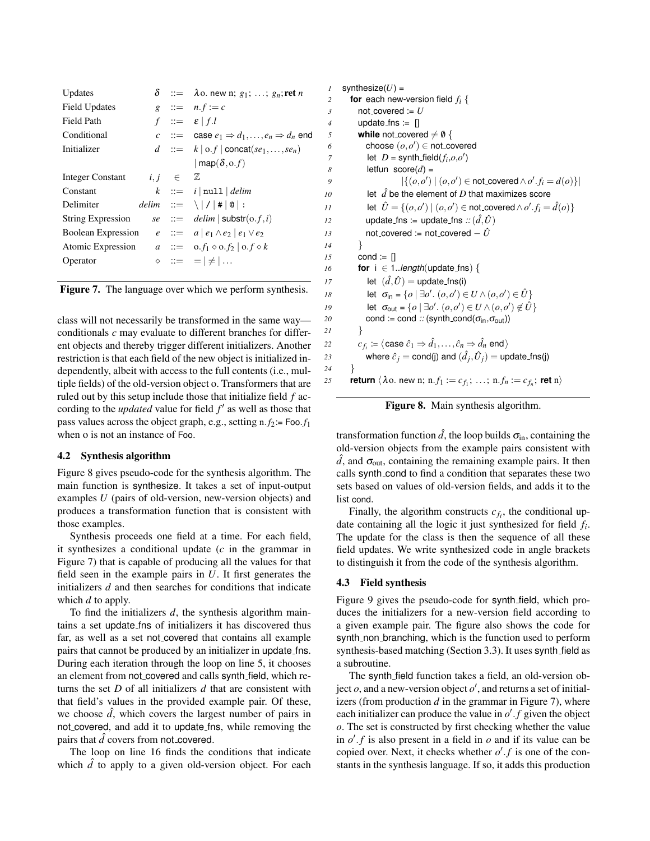| Updates                                                         | $\delta$ ::= $\lambda$ o. new n; g <sub>1</sub> ; ; g <sub>n</sub> ; ret n |
|-----------------------------------------------------------------|----------------------------------------------------------------------------|
| <b>Field Updates</b>                                            | $g ::= n.f := c$                                                           |
| Field Path                                                      | $f ::= \varepsilon   f.l$                                                  |
| Conditional                                                     | c ::= case $e_1 \Rightarrow d_1, \ldots, e_n \Rightarrow d_n$ end          |
| Initializer                                                     | $d ::= k   o.f   \text{concat}(se_1, \ldots, se_n)$                        |
|                                                                 | $\vert$ map( $\delta$ , o. f)                                              |
| Integer Constant $i, j \in \mathbb{Z}$                          |                                                                            |
| Constant                                                        | $k ::= i   \text{null}   delim$                                            |
| Delimiter                                                       | delim ::= $\ \cdot\ $ $\ \cdot\ $ = $\ \cdot\ $                            |
| String Expression $se ::= delim   \text{subst}(o.f, i)$         |                                                                            |
| Boolean Expression $e ::= a   e_1 \wedge e_2   e_1 \vee e_2$    |                                                                            |
| Atomic Expression $a ::= 0.f_1 \diamond 0.f_2   0.f \diamond k$ |                                                                            |
| Operator                                                        | $\diamond$ ::= = $\neq$                                                    |
|                                                                 |                                                                            |

Figure 7. The language over which we perform synthesis.

class will not necessarily be transformed in the same way conditionals *c* may evaluate to different branches for different objects and thereby trigger different initializers. Another restriction is that each field of the new object is initialized independently, albeit with access to the full contents (i.e., multiple fields) of the old-version object o. Transformers that are ruled out by this setup include those that initialize field *f* according to the *updated* value for field  $f'$  as well as those that pass values across the object graph, e.g., setting  $n.f_2$ := Foo. $f_1$ when o is not an instance of Foo.

## 4.2 Synthesis algorithm

Figure 8 gives pseudo-code for the synthesis algorithm. The main function is synthesize. It takes a set of input-output examples *U* (pairs of old-version, new-version objects) and produces a transformation function that is consistent with those examples.

Synthesis proceeds one field at a time. For each field, it synthesizes a conditional update (*c* in the grammar in Figure 7) that is capable of producing all the values for that field seen in the example pairs in *U*. It first generates the initializers *d* and then searches for conditions that indicate which *d* to apply.

To find the initializers *d*, the synthesis algorithm maintains a set update fns of initializers it has discovered thus far, as well as a set not covered that contains all example pairs that cannot be produced by an initializer in update fns. During each iteration through the loop on line 5, it chooses an element from not\_covered and calls synth\_field, which returns the set *D* of all initializers *d* that are consistent with that field's values in the provided example pair. Of these, we choose  $\hat{d}$ , which covers the largest number of pairs in not covered, and add it to update fns, while removing the pairs that  $\hat{d}$  covers from not covered.

The loop on line 16 finds the conditions that indicate which  $\hat{d}$  to apply to a given old-version object. For each

```
1 synthesize(U) =
 2 for each new-version field fi {
 3 not covered := U
 4 update fns := []
 5 while not covered \neq \emptyset {
 6 choose (o, o') \in \text{not-covered}7 let D = \text{synth-field}(f_i, o, o')8 letfun score(d) =
 9 |\{(o, o') | (o, o') \in \text{not} \text{.covered} \land o'.f_i = d(o)\}|10 let \hat{d} be the element of D that maximizes score
11 let \hat{U} = \{(o, o') | (o, o') \in \text{not} \text{.covered} \land o'.f_i = \hat{d}(o)\}12 update_fns := update_fns ::(\hat{d}, \hat{U})13 not_covered := not_covered -\hat{U}14 }
15 cond := []
16 for i \in 1..length(update_fns) {
17 let (\hat{d}, \hat{U}) = update_fns(i)
18 let \sigma_{in} = \{o \mid \exists o'. (o, o') \in U \land (o, o') \in \hat{U}\}\19 let \sigma_{\text{out}} = \{o \mid \exists o'. (o, o') \in U \land (o, o') \notin \hat{U}\}\20 cond := cond :: (synth_cond(\sigma_{in}, \sigma_{out}))
c_{f_i} \coloneqq \langle \textnormal{\textsf{case}}\ \hat{c}_1 \Rightarrow \hat{d}_1, \ldots, \hat{c}_n \Rightarrow \hat{d}_n \textnormal{\textsf{end}} \rangle23 where \hat{c}_j = \textsf{cond}(j) and (\hat{d}_j, \hat{U}_j) = \textsf{update\_fns}(j)24 }
25 <b>return \langle \lambdao. new n; n. f_1 := c_{f_1}; \ldots; n. f_n := c_{f_n}; ret n\rangle
```
Figure 8. Main synthesis algorithm.

transformation function  $\hat{d}$ , the loop builds  $\sigma_{\text{in}}$ , containing the old-version objects from the example pairs consistent with  $\hat{d}$ , and  $\sigma_{\text{out}}$ , containing the remaining example pairs. It then calls synth cond to find a condition that separates these two sets based on values of old-version fields, and adds it to the list cond.

Finally, the algorithm constructs  $c_{f_i}$ , the conditional update containing all the logic it just synthesized for field *f<sup>i</sup>* . The update for the class is then the sequence of all these field updates. We write synthesized code in angle brackets to distinguish it from the code of the synthesis algorithm.

### 4.3 Field synthesis

*21* }

Figure 9 gives the pseudo-code for synth field, which produces the initializers for a new-version field according to a given example pair. The figure also shows the code for synth non branching, which is the function used to perform synthesis-based matching (Section 3.3). It uses synth field as a subroutine.

The synth field function takes a field, an old-version object  $o$ , and a new-version object  $o'$ , and returns a set of initializers (from production  $d$  in the grammar in Figure 7), where each initializer can produce the value in  $o'.f$  given the object *o*. The set is constructed by first checking whether the value in  $o'.f$  is also present in a field in  $o$  and if its value can be copied over. Next, it checks whether  $o'.f$  is one of the constants in the synthesis language. If so, it adds this production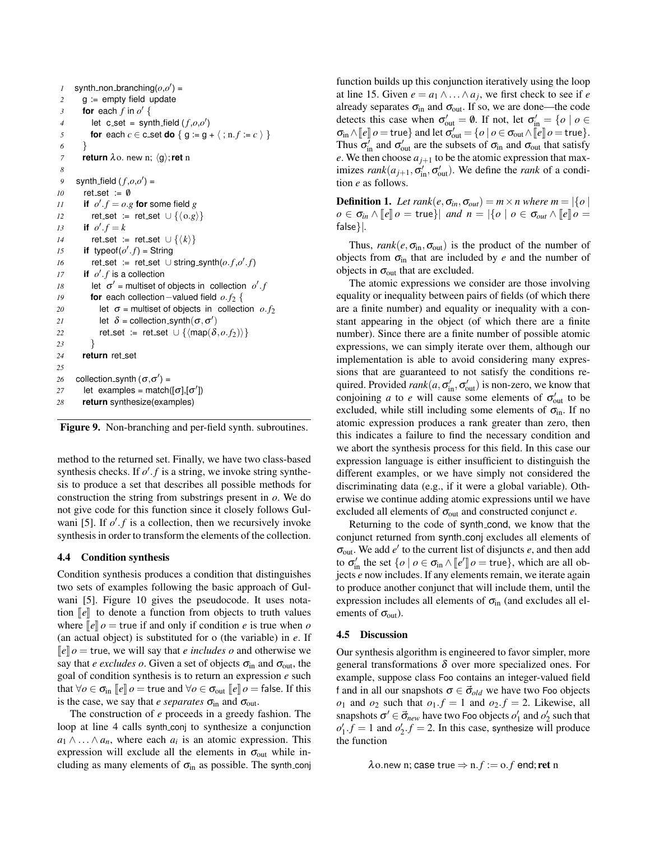```
1 synth_non_branching(o, o') =2 g := empty field update
 3 for each f in o' {
 4 let c_set = synth_field (f, o, o')5 for each c \in \text{c} set do \{ g := g + \langle \, ; n.f := c \, \rangle \}6 }
7 return \lambdao. new n; \langle g \rangle; ret n
8
 9 synth_field (f, o, o') =10 ret_set := 0
11 if o'. f = o. g for some field g
12 ret_set := ret_set \cup {\langle o.g\rangle}
13 if o' \cdot f = k14 ret_set := ret_set \cup {\langle k \rangle}
15 if typeof(o',f) = String
16 ret_set := ret_set ∪ string_synth(o.f.o'.f)17 if o'. f is a collection
18 let \sigma' = multiset of objects in collection o'.f19 for each collection−valued field o.f<sub>2</sub> {
20 let σ = multiset of objects in collection o.f_221 let \delta = collection_synth(\sigma, \sigma')22 ret_set := ret_set ∪ {\langle \textsf{map}(\delta, o.f_2) \rangle}
23 }
24 return ret set
25
26 collection_synth (σ, σ') =27 let examples = match([\sigma],[\sigma'])
28 return synthesize(examples)
```
Figure 9. Non-branching and per-field synth. subroutines.

method to the returned set. Finally, we have two class-based synthesis checks. If  $o'.f$  is a string, we invoke string synthesis to produce a set that describes all possible methods for construction the string from substrings present in *o*. We do not give code for this function since it closely follows Gulwani [5]. If  $o'.f$  is a collection, then we recursively invoke synthesis in order to transform the elements of the collection.

#### 4.4 Condition synthesis

Condition synthesis produces a condition that distinguishes two sets of examples following the basic approach of Gulwani [5]. Figure 10 gives the pseudocode. It uses notation  $\llbracket e \rrbracket$  to denote a function from objects to truth values where  $\llbracket e \rrbracket$  *o* = true if and only if condition *e* is true when *o* (an actual object) is substituted for o (the variable) in *e*. If  $\llbracket e \rrbracket$  *o* = true, we will say that *e includes o* and otherwise we say that *e excludes o*. Given a set of objects  $\sigma_{\text{in}}$  and  $\sigma_{\text{out}}$ , the goal of condition synthesis is to return an expression *e* such that  $\forall o \in \sigma_{in}$  [*e*]  $o = \text{true}$  and  $\forall o \in \sigma_{out}$  [*e*]  $o = \text{false}$ . If this is the case, we say that *e separates*  $\sigma_{in}$  and  $\sigma_{out}$ .

The construction of *e* proceeds in a greedy fashion. The loop at line 4 calls synth conj to synthesize a conjunction  $a_1 \wedge \ldots \wedge a_n$ , where each  $a_i$  is an atomic expression. This expression will exclude all the elements in  $\sigma_{\text{out}}$  while including as many elements of  $\sigma_{\text{in}}$  as possible. The synth conj

function builds up this conjunction iteratively using the loop at line 15. Given  $e = a_1 \wedge \ldots \wedge a_j$ , we first check to see if *e* already separates  $\sigma_{in}$  and  $\sigma_{out}$ . If so, we are done—the code detects this case when  $\sigma'_{\text{out}} = \emptyset$ . If not, let  $\sigma'_{\text{in}} = \{o \mid o \in$  $\sigma_{\text{in}} \wedge [\![e]\!]$   $o = \text{true}$ } and let  $\sigma'_{\text{out}} = \{o \mid o \in \sigma_{\text{out}} \wedge [\![e]\!]$   $o = \text{true}$ }.<br>Thus  $\sigma'$  and  $\sigma'$  are the subsets of  $\sigma$  and  $\sigma$  that satisfy Thus  $\sigma'_{\rm in}$  and  $\sigma'_{\rm out}$  are the subsets of  $\sigma_{\rm in}$  and  $\sigma_{\rm out}$  that satisfy *e*. We then choose  $a_{j+1}$  to be the atomic expression that maximizes  $rank(a_{j+1}, \sigma'_{in}, \sigma'_{out})$ . We define the *rank* of a condition *e* as follows.

**Definition 1.** Let rank $(e, \sigma_{in}, \sigma_{out}) = m \times n$  where  $m = |\{\rho\}|$  $o \in \sigma_{in} \wedge [e]$   $o = \text{true}$ } *and*  $n = |\{o \mid o \in \sigma_{out} \wedge [e]$   $o =$ false}|*.*

Thus,  $rank(e, \sigma_{\text{in}}, \sigma_{\text{out}})$  is the product of the number of objects from  $\sigma_{\text{in}}$  that are included by *e* and the number of objects in  $\sigma_{\text{out}}$  that are excluded.

The atomic expressions we consider are those involving equality or inequality between pairs of fields (of which there are a finite number) and equality or inequality with a constant appearing in the object (of which there are a finite number). Since there are a finite number of possible atomic expressions, we can simply iterate over them, although our implementation is able to avoid considering many expressions that are guaranteed to not satisfy the conditions required. Provided  $rank(a, \sigma'_{in}, \sigma'_{out})$  is non-zero, we know that conjoining *a* to *e* will cause some elements of  $\sigma'_{out}$  to be excluded, while still including some elements of  $\sigma_{\text{in}}$ . If no atomic expression produces a rank greater than zero, then this indicates a failure to find the necessary condition and we abort the synthesis process for this field. In this case our expression language is either insufficient to distinguish the different examples, or we have simply not considered the discriminating data (e.g., if it were a global variable). Otherwise we continue adding atomic expressions until we have excluded all elements of  $\sigma_{\text{out}}$  and constructed conjunct  $e$ .

Returning to the code of synth cond, we know that the conjunct returned from synth conj excludes all elements of  $\sigma_{\text{out}}$ . We add  $e'$  to the current list of disjuncts  $e$ , and then add to  $\sigma'_{\text{in}}$  the set  $\{o \mid o \in \sigma_{\text{in}} \land [\![e']\!] \mid o = \text{true}\},$  which are all objects *e* now includes. If any elements remain, we iterate again to produce another conjunct that will include them, until the expression includes all elements of  $\sigma_{\text{in}}$  (and excludes all elements of  $\sigma_{\text{out}}$ ).

#### 4.5 Discussion

Our synthesis algorithm is engineered to favor simpler, more general transformations  $\delta$  over more specialized ones. For example, suppose class Foo contains an integer-valued field f and in all our snapshots  $\sigma \in \vec{\sigma}_{old}$  we have two Foo objects  $o_1$  and  $o_2$  such that  $o_1.f = 1$  and  $o_2.f = 2$ . Likewise, all snapshots  $\sigma' \in \vec{\sigma}_{new}$  have two Foo objects  $o'_1$  and  $o'_2$  such that  $o'_1$ .  $f = 1$  and  $o'_2$ .  $f = 2$ . In this case, synthesize will produce the function

 $\lambda$ o.new n; case true  $\Rightarrow$  n.  $f := o.f$  end; ret n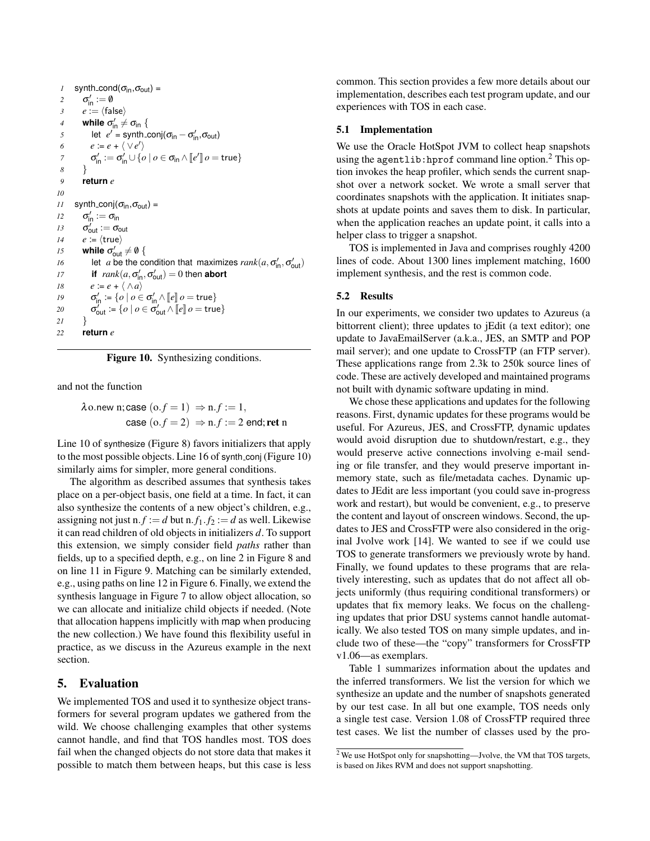synth\_cond( $\sigma_{in}, \sigma_{out}$ ) =  $\sigma'_{\text{in}} := \emptyset$  $e := \langle false \rangle$  **while**  $\sigma'_{in} \neq \sigma_{in}$  { let  $e' =$ synth\_conj( $\sigma_{\text{in}} - \sigma'_{\text{in}}, \sigma_{\text{out}}$ )  $e := e + \langle \vee e' \rangle$   $\sigma'_{\text{in}} := \sigma'_{\text{in}} \cup \{ o \mid o \in \sigma_{\text{in}} \wedge \llbracket e' \rrbracket o = \text{true} \}$ *8* } *9* **return** *e 10* synth\_conj $(\sigma_{in}, \sigma_{out})$  =  $\sigma'_{\text{in}} := \sigma_{\text{in}}$   $\sigma_{\text{out}}^7 := \sigma_{\text{out}}$   $e := \langle \text{true} \rangle$  **while**  $\sigma'_{\text{out}} \neq \emptyset$  { let *a* be the condition that maximizes  $rank(a, \sigma'_{in}, \sigma'_{out})$  **if**  $rank(a, \sigma'_{\text{in}}, \sigma'_{\text{out}}) = 0$  then **abort**   $e := e + \langle \wedge a \rangle$   $\sigma'_{\text{in}} = \{ o \mid o \in \sigma'_{\text{in}} \land [e] \mid o = \text{true} \}$  $\sigma_{\text{out}}' := \{ o \mid o \in \sigma_{\text{out}}' \land \llbracket e \rrbracket o = \text{true} \}$ *21* } *22* **return** *e*

Figure 10. Synthesizing conditions.

and not the function

 $\lambda$ o.new n; case  $(o.f = 1) \Rightarrow n.f := 1$ , case  $(o.f = 2) \Rightarrow n.f := 2$  end; ret n

Line 10 of synthesize (Figure 8) favors initializers that apply to the most possible objects. Line 16 of synth conj (Figure 10) similarly aims for simpler, more general conditions.

The algorithm as described assumes that synthesis takes place on a per-object basis, one field at a time. In fact, it can also synthesize the contents of a new object's children, e.g., assigning not just n.  $f := d$  but n.  $f_1.f_2 := d$  as well. Likewise it can read children of old objects in initializers *d*. To support this extension, we simply consider field *paths* rather than fields, up to a specified depth, e.g., on line 2 in Figure 8 and on line 11 in Figure 9. Matching can be similarly extended, e.g., using paths on line 12 in Figure 6. Finally, we extend the synthesis language in Figure 7 to allow object allocation, so we can allocate and initialize child objects if needed. (Note that allocation happens implicitly with map when producing the new collection.) We have found this flexibility useful in practice, as we discuss in the Azureus example in the next section.

# 5. Evaluation

We implemented TOS and used it to synthesize object transformers for several program updates we gathered from the wild. We choose challenging examples that other systems cannot handle, and find that TOS handles most. TOS does fail when the changed objects do not store data that makes it possible to match them between heaps, but this case is less

common. This section provides a few more details about our implementation, describes each test program update, and our experiences with TOS in each case.

## 5.1 Implementation

We use the Oracle HotSpot JVM to collect heap snapshots using the agentlib: hprof command line option.<sup>2</sup> This option invokes the heap profiler, which sends the current snapshot over a network socket. We wrote a small server that coordinates snapshots with the application. It initiates snapshots at update points and saves them to disk. In particular, when the application reaches an update point, it calls into a helper class to trigger a snapshot.

TOS is implemented in Java and comprises roughly 4200 lines of code. About 1300 lines implement matching, 1600 implement synthesis, and the rest is common code.

## 5.2 Results

In our experiments, we consider two updates to Azureus (a bittorrent client); three updates to jEdit (a text editor); one update to JavaEmailServer (a.k.a., JES, an SMTP and POP mail server); and one update to CrossFTP (an FTP server). These applications range from 2.3k to 250k source lines of code. These are actively developed and maintained programs not built with dynamic software updating in mind.

We chose these applications and updates for the following reasons. First, dynamic updates for these programs would be useful. For Azureus, JES, and CrossFTP, dynamic updates would avoid disruption due to shutdown/restart, e.g., they would preserve active connections involving e-mail sending or file transfer, and they would preserve important inmemory state, such as file/metadata caches. Dynamic updates to JEdit are less important (you could save in-progress work and restart), but would be convenient, e.g., to preserve the content and layout of onscreen windows. Second, the updates to JES and CrossFTP were also considered in the original Jvolve work [14]. We wanted to see if we could use TOS to generate transformers we previously wrote by hand. Finally, we found updates to these programs that are relatively interesting, such as updates that do not affect all objects uniformly (thus requiring conditional transformers) or updates that fix memory leaks. We focus on the challenging updates that prior DSU systems cannot handle automatically. We also tested TOS on many simple updates, and include two of these—the "copy" transformers for CrossFTP v1.06—as exemplars.

Table 1 summarizes information about the updates and the inferred transformers. We list the version for which we synthesize an update and the number of snapshots generated by our test case. In all but one example, TOS needs only a single test case. Version 1.08 of CrossFTP required three test cases. We list the number of classes used by the pro-

<sup>&</sup>lt;sup>2</sup> We use HotSpot only for snapshotting—Jvolve, the VM that TOS targets, is based on Jikes RVM and does not support snapshotting.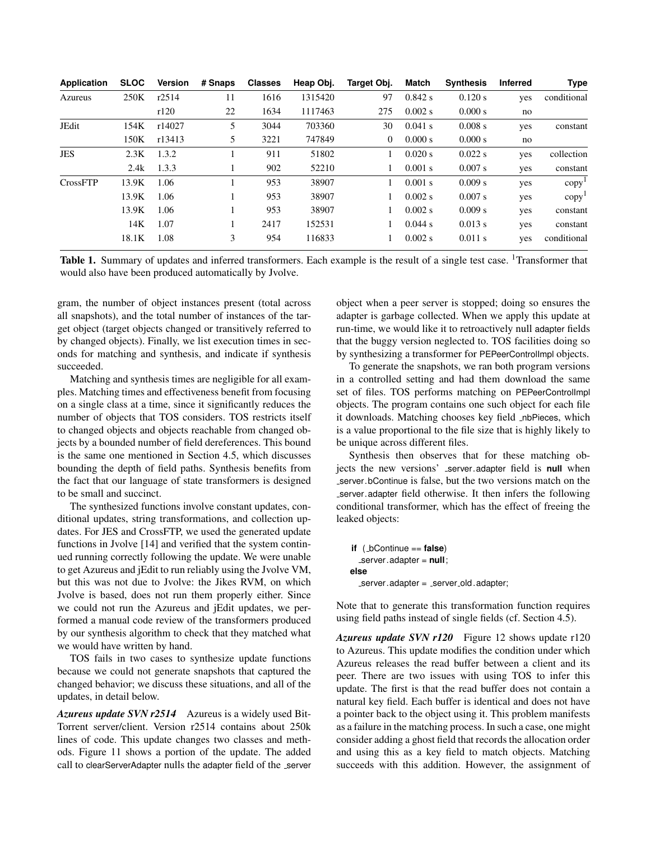| Application | <b>SLOC</b> | <b>Version</b> | # Snaps | <b>Classes</b> | Heap Obj. | Target Obj.    | Match     | <b>Synthesis</b> | <b>Inferred</b> | <b>Type</b>       |
|-------------|-------------|----------------|---------|----------------|-----------|----------------|-----------|------------------|-----------------|-------------------|
| Azureus     | 250K        | r2514          | 11      | 1616           | 1315420   | 97             | 0.842 s   | 0.120 s          | yes             | conditional       |
|             |             | r120           | 22      | 1634           | 1117463   | 275            | $0.002$ s | 0.000 s          | no              |                   |
| JEdit       | 154K        | r14027         | 5       | 3044           | 703360    | 30             | 0.041 s   | 0.008 s          | yes             | constant          |
|             | 150K        | r13413         | 5       | 3221           | 747849    | $\overline{0}$ | 0.000 s   | 0.000 s          | no              |                   |
| <b>JES</b>  | 2.3K        | 1.3.2          |         | 911            | 51802     |                | 0.020 s   | $0.022$ s        | yes             | collection        |
|             | 2.4k        | 1.3.3          | -1      | 902            | 52210     |                | 0.001 s   | 0.007 s          | yes             | constant          |
| CrossFTP    | 13.9K       | 1.06           |         | 953            | 38907     |                | 0.001 s   | 0.009 s          | yes             | copy <sup>1</sup> |
|             | 13.9K       | 1.06           |         | 953            | 38907     |                | $0.002$ s | 0.007 s          | yes             | copy <sup>1</sup> |
|             | 13.9K       | 1.06           |         | 953            | 38907     |                | $0.002$ s | 0.009 s          | yes             | constant          |
|             | 14K         | 1.07           |         | 2417           | 152531    |                | 0.044 s   | 0.013 s          | yes             | constant          |
|             | 18.1K       | 1.08           | 3       | 954            | 116833    |                | $0.002$ s | 0.011 s          | yes             | conditional       |

Table 1. Summary of updates and inferred transformers. Each example is the result of a single test case. <sup>1</sup>Transformer that would also have been produced automatically by Jvolve.

gram, the number of object instances present (total across all snapshots), and the total number of instances of the target object (target objects changed or transitively referred to by changed objects). Finally, we list execution times in seconds for matching and synthesis, and indicate if synthesis succeeded.

Matching and synthesis times are negligible for all examples. Matching times and effectiveness benefit from focusing on a single class at a time, since it significantly reduces the number of objects that TOS considers. TOS restricts itself to changed objects and objects reachable from changed objects by a bounded number of field dereferences. This bound is the same one mentioned in Section 4.5, which discusses bounding the depth of field paths. Synthesis benefits from the fact that our language of state transformers is designed to be small and succinct.

The synthesized functions involve constant updates, conditional updates, string transformations, and collection updates. For JES and CrossFTP, we used the generated update functions in Jvolve [14] and verified that the system continued running correctly following the update. We were unable to get Azureus and jEdit to run reliably using the Jvolve VM, but this was not due to Jvolve: the Jikes RVM, on which Jvolve is based, does not run them properly either. Since we could not run the Azureus and jEdit updates, we performed a manual code review of the transformers produced by our synthesis algorithm to check that they matched what we would have written by hand.

TOS fails in two cases to synthesize update functions because we could not generate snapshots that captured the changed behavior; we discuss these situations, and all of the updates, in detail below.

*Azureus update SVN r2514* Azureus is a widely used Bit-Torrent server/client. Version r2514 contains about 250k lines of code. This update changes two classes and methods. Figure 11 shows a portion of the update. The added call to clearServerAdapter nulls the adapter field of the server

object when a peer server is stopped; doing so ensures the adapter is garbage collected. When we apply this update at run-time, we would like it to retroactively null adapter fields that the buggy version neglected to. TOS facilities doing so by synthesizing a transformer for PEPeerControlImpl objects.

To generate the snapshots, we ran both program versions in a controlled setting and had them download the same set of files. TOS performs matching on PEPeerControlImpl objects. The program contains one such object for each file it downloads. Matching chooses key field nbPieces, which is a value proportional to the file size that is highly likely to be unique across different files.

Synthesis then observes that for these matching objects the new versions' server.adapter field is **null** when server.bContinue is false, but the two versions match on the server.adapter field otherwise. It then infers the following conditional transformer, which has the effect of freeing the leaked objects:

```
if (_bContinue == false)
  server.adapter = null;
else
  _sserver.adapter = _sserver_sold.adapter;
```
Note that to generate this transformation function requires using field paths instead of single fields (cf. Section 4.5).

*Azureus update SVN r120* Figure 12 shows update r120 to Azureus. This update modifies the condition under which Azureus releases the read buffer between a client and its peer. There are two issues with using TOS to infer this update. The first is that the read buffer does not contain a natural key field. Each buffer is identical and does not have a pointer back to the object using it. This problem manifests as a failure in the matching process. In such a case, one might consider adding a ghost field that records the allocation order and using this as a key field to match objects. Matching succeeds with this addition. However, the assignment of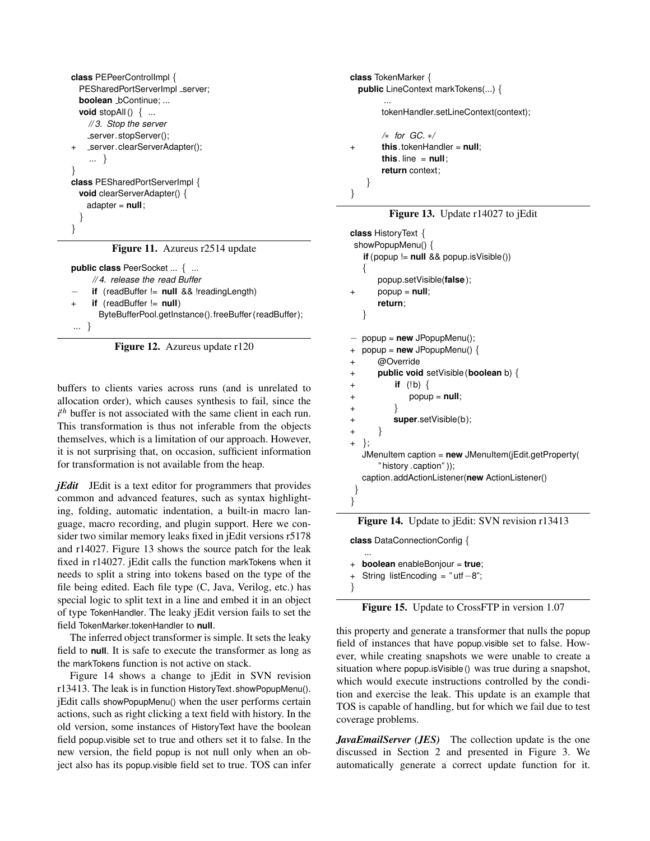```
class PEPeerControlImpl {
  PESharedPortServerImpl_server;
  boolean _bContinue; ...
  void stopAll () { ...
    // 3. Stop the server
    server.stopServer();
    _server.clearServerAdapter();
    ... }
}
class PESharedPortServerImpl {
  void clearServerAdapter() {
    adapter = null;
  }
}
```
#### Figure 11. Azureus r2514 update

**public class** PeerSocket ... { ... *// 4. release the read Buffer* − **if** (readBuffer != **null** && !readingLength) if (readBuffer != **null**) ByteBufferPool.getInstance().freeBuffer (readBuffer); ... }



buffers to clients varies across runs (and is unrelated to allocation order), which causes synthesis to fail, since the *i th* buffer is not associated with the same client in each run. This transformation is thus not inferable from the objects themselves, which is a limitation of our approach. However, it is not surprising that, on occasion, sufficient information for transformation is not available from the heap.

*jEdit* JEdit is a text editor for programmers that provides common and advanced features, such as syntax highlighting, folding, automatic indentation, a built-in macro language, macro recording, and plugin support. Here we consider two similar memory leaks fixed in jEdit versions r5178 and r14027. Figure 13 shows the source patch for the leak fixed in r14027. jEdit calls the function markTokens when it needs to split a string into tokens based on the type of the file being edited. Each file type (C, Java, Verilog, etc.) has special logic to split text in a line and embed it in an object of type TokenHandler. The leaky jEdit version fails to set the field TokenMarker.tokenHandler to **null**.

The inferred object transformer is simple. It sets the leaky field to **null**. It is safe to execute the transformer as long as the markTokens function is not active on stack.

Figure 14 shows a change to jEdit in SVN revision r13413. The leak is in function HistoryText.showPopupMenu(). jEdit calls showPopupMenu() when the user performs certain actions, such as right clicking a text field with history. In the old version, some instances of HistoryText have the boolean field popup.visible set to true and others set it to false. In the new version, the field popup is not null only when an object also has its popup.visible field set to true. TOS can infer

```
class TokenMarker {
  public LineContext markTokens(...) {
         ...
        tokenHandler.setLineContext(context);
        /∗ for GC. ∗/
        + this.tokenHandler = null;
        this. line = null;
        return context;
    }
```

```
Figure 13. Update r14027 to jEdit
```
**class** HistoryText { showPopupMenu() { **if** (popup != **null** && popup.isVisible())

}

```
{
      popup.setVisible(false);
      + popup = null;
      return;
  }
− popup = new JPopupMenu();
  popup = new JPopupMenu() {
+ @Override
+ public void setVisible (boolean b) {
+ if (! b) {
+ popup = null;
          \}super.setVisible(b);
      \}+ };
  JMenuItem caption = new JMenuItem(jEdit.getProperty(
      " history .caption" ));
  caption.addActionListener(new ActionListener()
}
}
```
Figure 14. Update to jEdit: SVN revision r13413

**class** DataConnectionConfig { ... + **boolean** enableBonjour = **true**; + String listEncoding = " utf−8"; }

Figure 15. Update to CrossFTP in version 1.07

this property and generate a transformer that nulls the popup field of instances that have popup.visible set to false. However, while creating snapshots we were unable to create a situation where popup.isVisible () was true during a snapshot, which would execute instructions controlled by the condition and exercise the leak. This update is an example that TOS is capable of handling, but for which we fail due to test coverage problems.

*JavaEmailServer (JES)* The collection update is the one discussed in Section 2 and presented in Figure 3. We automatically generate a correct update function for it.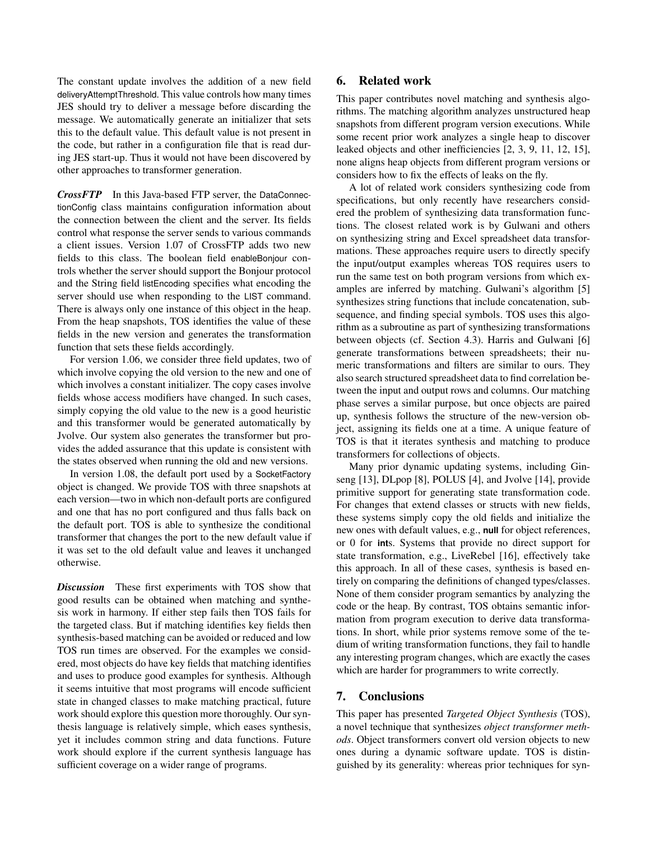The constant update involves the addition of a new field deliveryAttemptThreshold. This value controls how many times JES should try to deliver a message before discarding the message. We automatically generate an initializer that sets this to the default value. This default value is not present in the code, but rather in a configuration file that is read during JES start-up. Thus it would not have been discovered by other approaches to transformer generation.

*CrossFTP* In this Java-based FTP server, the DataConnectionConfig class maintains configuration information about the connection between the client and the server. Its fields control what response the server sends to various commands a client issues. Version 1.07 of CrossFTP adds two new fields to this class. The boolean field enableBonjour controls whether the server should support the Bonjour protocol and the String field listEncoding specifies what encoding the server should use when responding to the LIST command. There is always only one instance of this object in the heap. From the heap snapshots, TOS identifies the value of these fields in the new version and generates the transformation function that sets these fields accordingly.

For version 1.06, we consider three field updates, two of which involve copying the old version to the new and one of which involves a constant initializer. The copy cases involve fields whose access modifiers have changed. In such cases, simply copying the old value to the new is a good heuristic and this transformer would be generated automatically by Jvolve. Our system also generates the transformer but provides the added assurance that this update is consistent with the states observed when running the old and new versions.

In version 1.08, the default port used by a SocketFactory object is changed. We provide TOS with three snapshots at each version—two in which non-default ports are configured and one that has no port configured and thus falls back on the default port. TOS is able to synthesize the conditional transformer that changes the port to the new default value if it was set to the old default value and leaves it unchanged otherwise.

*Discussion* These first experiments with TOS show that good results can be obtained when matching and synthesis work in harmony. If either step fails then TOS fails for the targeted class. But if matching identifies key fields then synthesis-based matching can be avoided or reduced and low TOS run times are observed. For the examples we considered, most objects do have key fields that matching identifies and uses to produce good examples for synthesis. Although it seems intuitive that most programs will encode sufficient state in changed classes to make matching practical, future work should explore this question more thoroughly. Our synthesis language is relatively simple, which eases synthesis, yet it includes common string and data functions. Future work should explore if the current synthesis language has sufficient coverage on a wider range of programs.

# 6. Related work

This paper contributes novel matching and synthesis algorithms. The matching algorithm analyzes unstructured heap snapshots from different program version executions. While some recent prior work analyzes a single heap to discover leaked objects and other inefficiencies [2, 3, 9, 11, 12, 15], none aligns heap objects from different program versions or considers how to fix the effects of leaks on the fly.

A lot of related work considers synthesizing code from specifications, but only recently have researchers considered the problem of synthesizing data transformation functions. The closest related work is by Gulwani and others on synthesizing string and Excel spreadsheet data transformations. These approaches require users to directly specify the input/output examples whereas TOS requires users to run the same test on both program versions from which examples are inferred by matching. Gulwani's algorithm [5] synthesizes string functions that include concatenation, subsequence, and finding special symbols. TOS uses this algorithm as a subroutine as part of synthesizing transformations between objects (cf. Section 4.3). Harris and Gulwani [6] generate transformations between spreadsheets; their numeric transformations and filters are similar to ours. They also search structured spreadsheet data to find correlation between the input and output rows and columns. Our matching phase serves a similar purpose, but once objects are paired up, synthesis follows the structure of the new-version object, assigning its fields one at a time. A unique feature of TOS is that it iterates synthesis and matching to produce transformers for collections of objects.

Many prior dynamic updating systems, including Ginseng [13], DLpop [8], POLUS [4], and Jvolve [14], provide primitive support for generating state transformation code. For changes that extend classes or structs with new fields, these systems simply copy the old fields and initialize the new ones with default values, e.g., **null** for object references, or 0 for **int**s. Systems that provide no direct support for state transformation, e.g., LiveRebel [16], effectively take this approach. In all of these cases, synthesis is based entirely on comparing the definitions of changed types/classes. None of them consider program semantics by analyzing the code or the heap. By contrast, TOS obtains semantic information from program execution to derive data transformations. In short, while prior systems remove some of the tedium of writing transformation functions, they fail to handle any interesting program changes, which are exactly the cases which are harder for programmers to write correctly.

# 7. Conclusions

This paper has presented *Targeted Object Synthesis* (TOS), a novel technique that synthesizes *object transformer methods*. Object transformers convert old version objects to new ones during a dynamic software update. TOS is distinguished by its generality: whereas prior techniques for syn